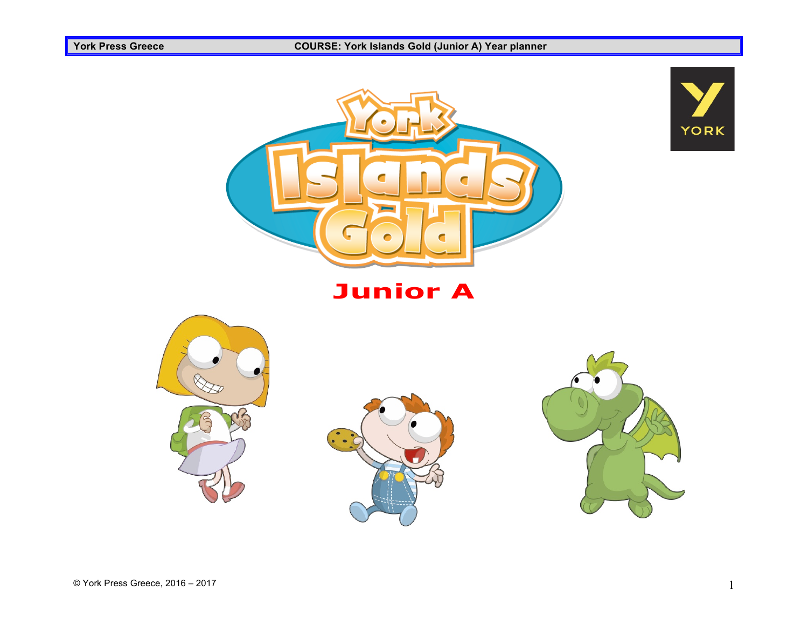#### **York Press Greece COURSE: York Islands Gold (Junior A) Year planner**











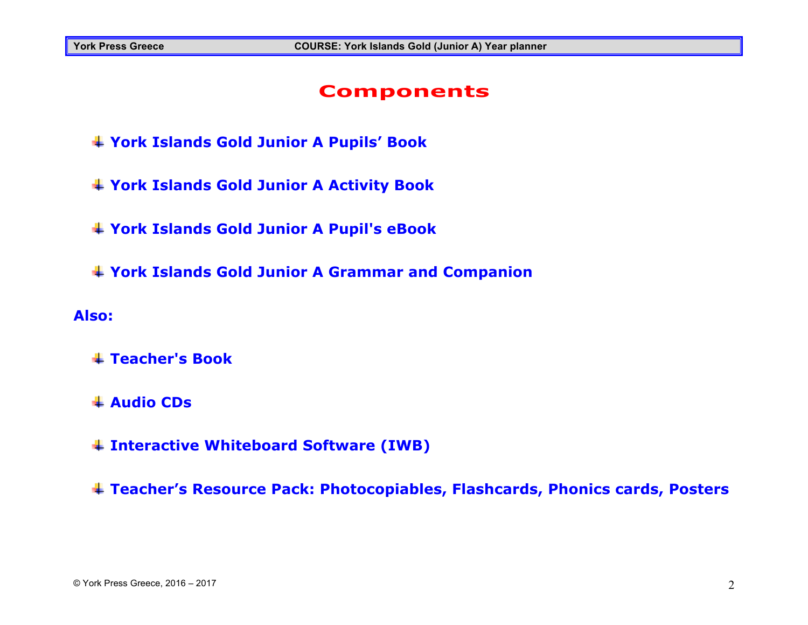#### **Components**

- **York Islands Gold Junior A Pupils' Book**
- **York Islands Gold Junior A Activity Book**
- **York Islands Gold Junior A Pupil's eBook**
- **York Islands Gold Junior A Grammar and Companion**

#### **Also:**

- **Teacher's Book**
- **Audio CDs**
- **Interactive Whiteboard Software (IWB)**
- **Teacher's Resource Pack: Photocopiables, Flashcards, Phonics cards, Posters**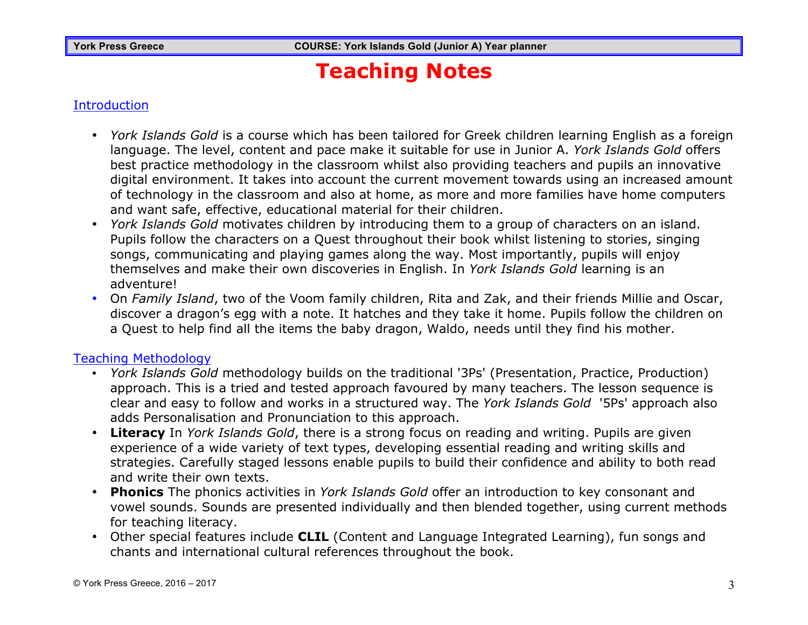# **Teaching Notes**

#### **Introduction**

- *York Islands Gold* is a course which has been tailored for Greek children learning English as a foreign language. The level, content and pace make it suitable for use in Junior A. *York Islands Gold* offers best practice methodology in the classroom whilst also providing teachers and pupils an innovative digital environment. It takes into account the current movement towards using an increased amount of technology in the classroom and also at home, as more and more families have home computers and want safe, effective, educational material for their children.
- *York Islands Gold* motivates children by introducing them to a group of characters on an island. Pupils follow the characters on a Quest throughout their book whilst listening to stories, singing songs, communicating and playing games along the way. Most importantly, pupils will enjoy themselves and make their own discoveries in English. In *York Islands Gold* learning is an adventure!
- On *Family Island*, two of the Voom family children, Rita and Zak, and their friends Millie and Oscar, discover a dragon's egg with a note. It hatches and they take it home. Pupils follow the children on a Quest to help find all the items the baby dragon, Waldo, needs until they find his mother.

#### Teaching Methodology

- *York Islands Gold* methodology builds on the traditional '3Ps' (Presentation, Practice, Production) approach. This is a tried and tested approach favoured by many teachers. The lesson sequence is clear and easy to follow and works in a structured way. The *York Islands Gold* '5Ps' approach also adds Personalisation and Pronunciation to this approach.
- **Literacy** In *York Islands Gold*, there is a strong focus on reading and writing. Pupils are given experience of a wide variety of text types, developing essential reading and writing skills and strategies. Carefully staged lessons enable pupils to build their confidence and ability to both read and write their own texts.
- **Phonics** The phonics activities in *York Islands Gold* offer an introduction to key consonant and vowel sounds. Sounds are presented individually and then blended together, using current methods for teaching literacy.
- Other special features include **CLIL** (Content and Language Integrated Learning), fun songs and chants and international cultural references throughout the book.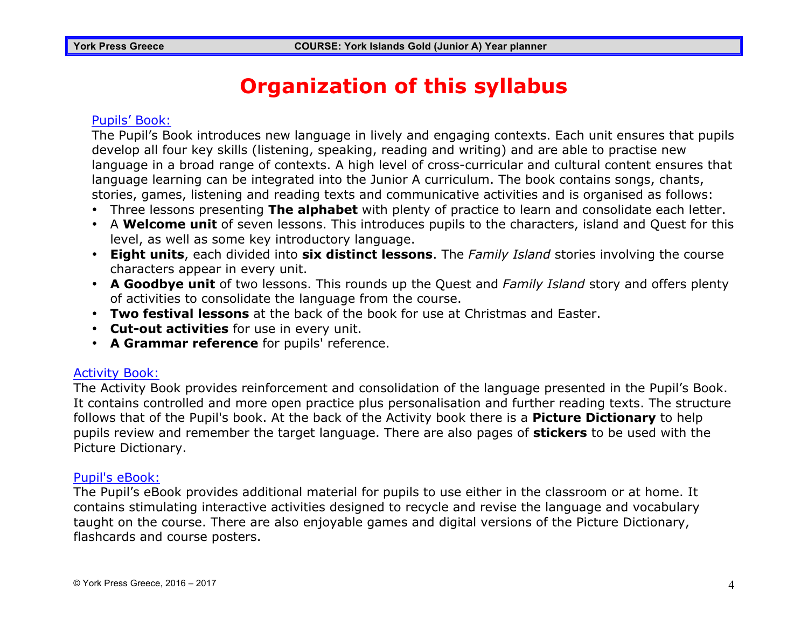# **Organization of this syllabus**

#### Pupils' Book:

The Pupil's Book introduces new language in lively and engaging contexts. Each unit ensures that pupils develop all four key skills (listening, speaking, reading and writing) and are able to practise new language in a broad range of contexts. A high level of cross-curricular and cultural content ensures that language learning can be integrated into the Junior A curriculum. The book contains songs, chants, stories, games, listening and reading texts and communicative activities and is organised as follows:

- Three lessons presenting **The alphabet** with plenty of practice to learn and consolidate each letter.
- A **Welcome unit** of seven lessons. This introduces pupils to the characters, island and Quest for this level, as well as some key introductory language.
- **Eight units**, each divided into **six distinct lessons**. The *Family Island* stories involving the course characters appear in every unit.
- **A Goodbye unit** of two lessons. This rounds up the Quest and *Family Island* story and offers plenty of activities to consolidate the language from the course.
- **Two festival lessons** at the back of the book for use at Christmas and Easter.
- **Cut-out activities** for use in every unit.
- **A Grammar reference** for pupils' reference.

#### Activity Book:

The Activity Book provides reinforcement and consolidation of the language presented in the Pupil's Book. It contains controlled and more open practice plus personalisation and further reading texts. The structure follows that of the Pupil's book. At the back of the Activity book there is a **Picture Dictionary** to help pupils review and remember the target language. There are also pages of **stickers** to be used with the Picture Dictionary.

#### Pupil's eBook:

The Pupil's eBook provides additional material for pupils to use either in the classroom or at home. It contains stimulating interactive activities designed to recycle and revise the language and vocabulary taught on the course. There are also enjoyable games and digital versions of the Picture Dictionary, flashcards and course posters.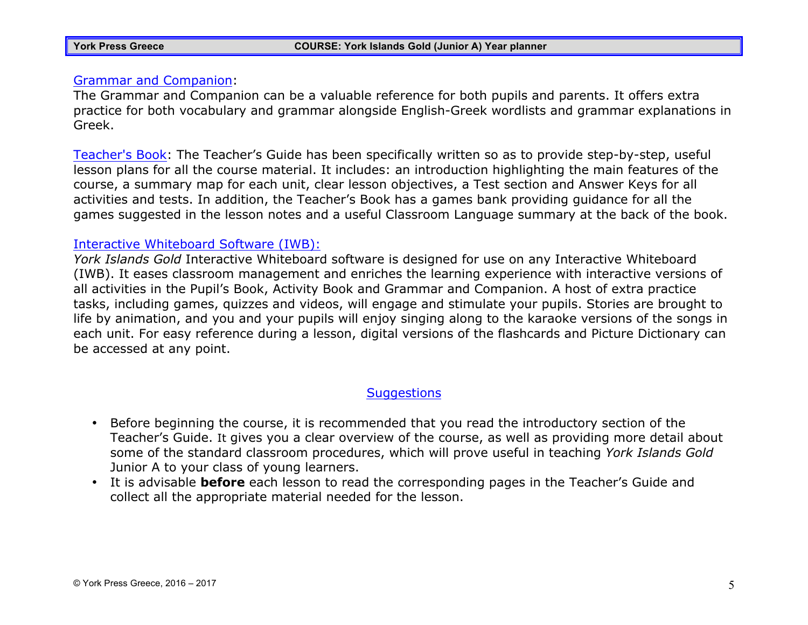#### Grammar and Companion:

The Grammar and Companion can be a valuable reference for both pupils and parents. It offers extra practice for both vocabulary and grammar alongside English-Greek wordlists and grammar explanations in Greek.

Teacher's Book: The Teacher's Guide has been specifically written so as to provide step-by-step, useful lesson plans for all the course material. It includes: an introduction highlighting the main features of the course, a summary map for each unit, clear lesson objectives, a Test section and Answer Keys for all activities and tests. In addition, the Teacher's Book has a games bank providing guidance for all the games suggested in the lesson notes and a useful Classroom Language summary at the back of the book.

#### Interactive Whiteboard Software (IWB):

*York Islands Gold* Interactive Whiteboard software is designed for use on any Interactive Whiteboard (IWB). It eases classroom management and enriches the learning experience with interactive versions of all activities in the Pupil's Book, Activity Book and Grammar and Companion. A host of extra practice tasks, including games, quizzes and videos, will engage and stimulate your pupils. Stories are brought to life by animation, and you and your pupils will enjoy singing along to the karaoke versions of the songs in each unit. For easy reference during a lesson, digital versions of the flashcards and Picture Dictionary can be accessed at any point.

#### **Suggestions**

- Before beginning the course, it is recommended that you read the introductory section of the Teacher's Guide. It gives you a clear overview of the course, as well as providing more detail about some of the standard classroom procedures, which will prove useful in teaching *York Islands Gold* Junior A to your class of young learners.
- It is advisable **before** each lesson to read the corresponding pages in the Teacher's Guide and collect all the appropriate material needed for the lesson.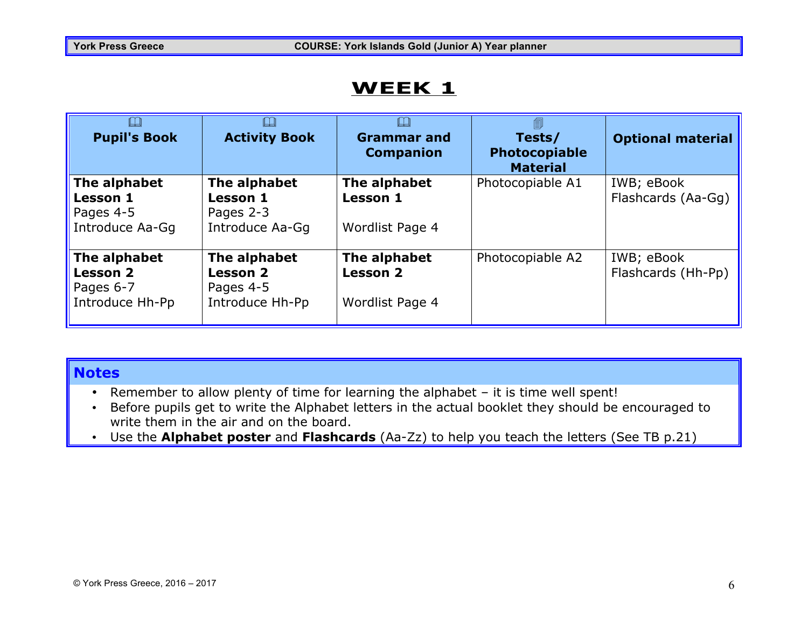| <b>Pupil's Book</b>                                             | IJ<br><b>Activity Book</b>                                      | <b>Grammar and</b><br><b>Companion</b>             | Tests/<br>Photocopiable<br><b>Material</b> | <b>Optional material</b>         |
|-----------------------------------------------------------------|-----------------------------------------------------------------|----------------------------------------------------|--------------------------------------------|----------------------------------|
| The alphabet<br><b>Lesson 1</b><br>Pages 4-5<br>Introduce Aa-Gg | The alphabet<br><b>Lesson 1</b><br>Pages 2-3<br>Introduce Aa-Gg | The alphabet<br><b>Lesson 1</b><br>Wordlist Page 4 | Photocopiable A1                           | IWB; eBook<br>Flashcards (Aa-Gg) |
| The alphabet<br><b>Lesson 2</b><br>Pages 6-7<br>Introduce Hh-Pp | The alphabet<br><b>Lesson 2</b><br>Pages 4-5<br>Introduce Hh-Pp | The alphabet<br><b>Lesson 2</b><br>Wordlist Page 4 | Photocopiable A2                           | IWB; eBook<br>Flashcards (Hh-Pp) |

#### **Notes**

- Remember to allow plenty of time for learning the alphabet it is time well spent!
- Before pupils get to write the Alphabet letters in the actual booklet they should be encouraged to write them in the air and on the board.
- Use the **Alphabet poster** and **Flashcards** (Aa-Zz) to help you teach the letters (See TB p.21)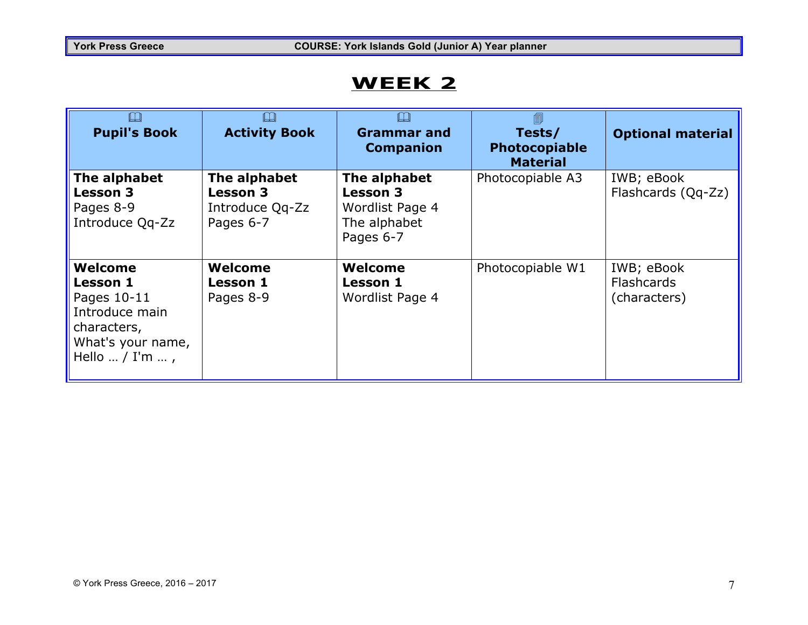| $\Box$<br><b>Pupil's Book</b>                                                                                      | LЦ<br><b>Activity Book</b>                                      | LЦ<br><b>Grammar and</b><br><b>Companion</b>                                    | 圎<br>Tests/<br>Photocopiable<br><b>Material</b> | <b>Optional material</b>                        |
|--------------------------------------------------------------------------------------------------------------------|-----------------------------------------------------------------|---------------------------------------------------------------------------------|-------------------------------------------------|-------------------------------------------------|
| The alphabet<br><b>Lesson 3</b><br>Pages 8-9<br>Introduce Qq-Zz                                                    | The alphabet<br><b>Lesson 3</b><br>Introduce Qq-Zz<br>Pages 6-7 | The alphabet<br><b>Lesson 3</b><br>Wordlist Page 4<br>The alphabet<br>Pages 6-7 | Photocopiable A3                                | IWB; eBook<br>Flashcards (Qq-Zz)                |
| Welcome<br><b>Lesson 1</b><br>Pages 10-11<br>Introduce main<br>characters,<br>What's your name,<br>Hello  / I'm  , | Welcome<br><b>Lesson 1</b><br>Pages 8-9                         | Welcome<br><b>Lesson 1</b><br>Wordlist Page 4                                   | Photocopiable W1                                | IWB; eBook<br><b>Flashcards</b><br>(characters) |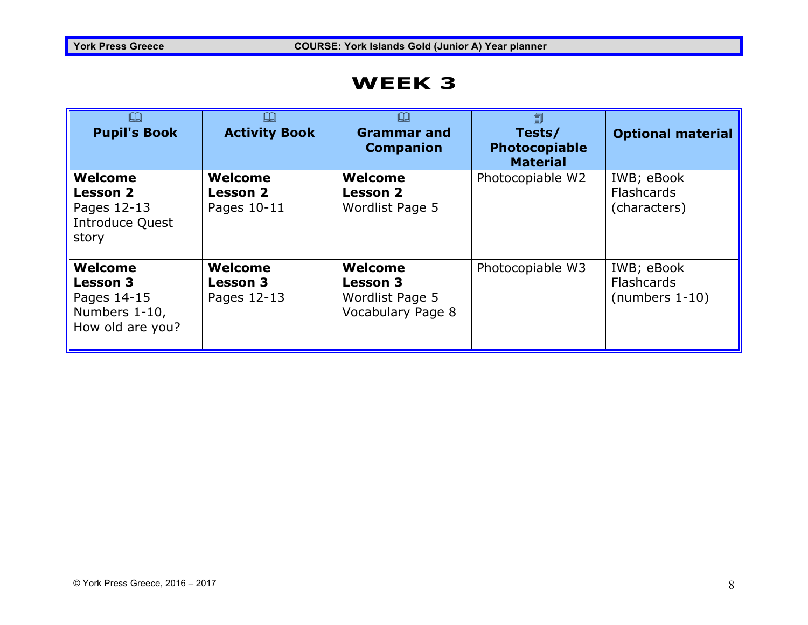| $\Box$<br><b>Pupil's Book</b>                                                  | $\Box$<br><b>Activity Book</b>            | ╚┙<br><b>Grammar and</b><br><b>Companion</b>                       | 匐<br>Tests/<br><b>Photocopiable</b><br><b>Material</b> | <b>Optional material</b>                            |
|--------------------------------------------------------------------------------|-------------------------------------------|--------------------------------------------------------------------|--------------------------------------------------------|-----------------------------------------------------|
| Welcome<br><b>Lesson 2</b><br>Pages 12-13<br><b>Introduce Quest</b><br>story   | Welcome<br><b>Lesson 2</b><br>Pages 10-11 | Welcome<br><b>Lesson 2</b><br>Wordlist Page 5                      | Photocopiable W2                                       | IWB; eBook<br><b>Flashcards</b><br>(characters)     |
| Welcome<br><b>Lesson 3</b><br>Pages 14-15<br>Numbers 1-10,<br>How old are you? | Welcome<br><b>Lesson 3</b><br>Pages 12-13 | Welcome<br><b>Lesson 3</b><br>Wordlist Page 5<br>Vocabulary Page 8 | Photocopiable W3                                       | IWB; eBook<br><b>Flashcards</b><br>$(numbers 1-10)$ |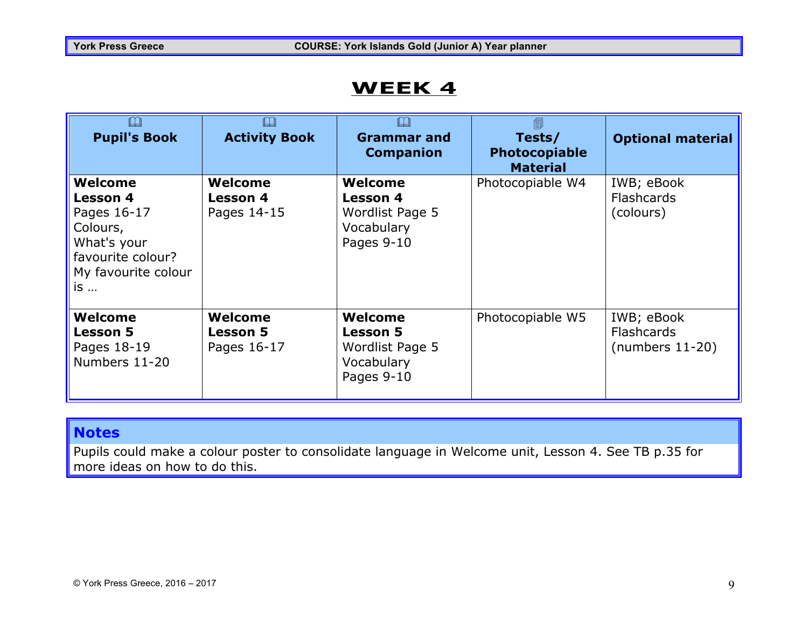| <b>Pupil's Book</b>                                                                                             | IJ<br><b>Activity Book</b>                | <b>Grammar and</b><br><b>Companion</b>                                    | 匐<br>Tests/<br>Photocopiable<br><b>Material</b> | <b>Optional material</b>                             |
|-----------------------------------------------------------------------------------------------------------------|-------------------------------------------|---------------------------------------------------------------------------|-------------------------------------------------|------------------------------------------------------|
| Welcome<br>Lesson 4<br>Pages 16-17<br>Colours,<br>What's your<br>favourite colour?<br>My favourite colour<br>is | Welcome<br>Lesson 4<br>Pages 14-15        | Welcome<br>Lesson 4<br>Wordlist Page 5<br>Vocabulary<br>Pages 9-10        | Photocopiable W4                                | IWB; eBook<br><b>Flashcards</b><br>(colours)         |
| Welcome<br><b>Lesson 5</b><br>Pages 18-19<br>Numbers 11-20                                                      | Welcome<br><b>Lesson 5</b><br>Pages 16-17 | Welcome<br><b>Lesson 5</b><br>Wordlist Page 5<br>Vocabulary<br>Pages 9-10 | Photocopiable W5                                | IWB; eBook<br><b>Flashcards</b><br>$(numbers 11-20)$ |

#### **Notes**

Pupils could make a colour poster to consolidate language in Welcome unit, Lesson 4. See TB p.35 for more ideas on how to do this.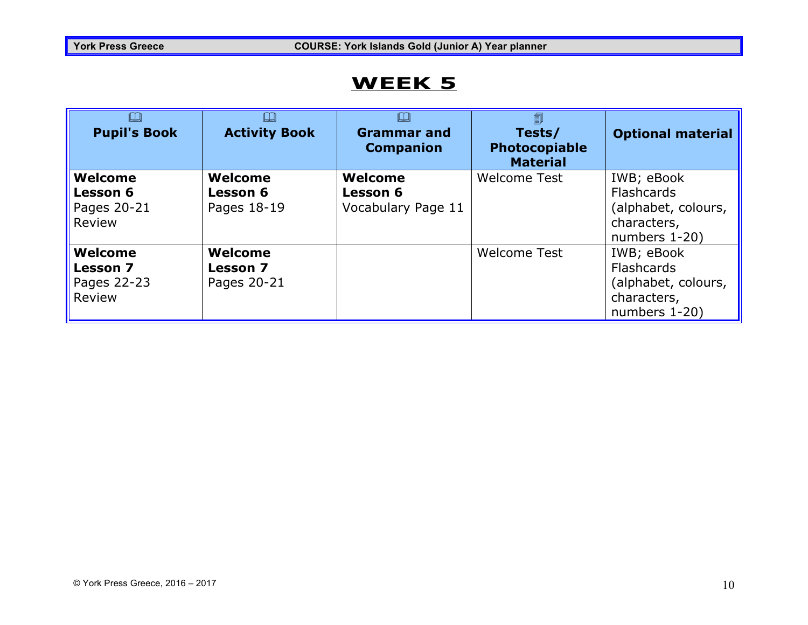| $\Box$<br><b>Pupil's Book</b>                       | LJ<br><b>Activity Book</b>                | <b>Grammar and</b><br><b>Companion</b>           | 匐<br>Tests/<br>Photocopiable<br><b>Material</b> | <b>Optional material</b>                                                               |
|-----------------------------------------------------|-------------------------------------------|--------------------------------------------------|-------------------------------------------------|----------------------------------------------------------------------------------------|
| Welcome<br><b>Lesson 6</b><br>Pages 20-21<br>Review | Welcome<br><b>Lesson 6</b><br>Pages 18-19 | Welcome<br><b>Lesson 6</b><br>Vocabulary Page 11 | <b>Welcome Test</b>                             | IWB; eBook<br><b>Flashcards</b><br>(alphabet, colours,<br>characters,<br>numbers 1-20) |
| Welcome<br><b>Lesson 7</b><br>Pages 22-23<br>Review | Welcome<br><b>Lesson 7</b><br>Pages 20-21 |                                                  | <b>Welcome Test</b>                             | IWB; eBook<br><b>Flashcards</b><br>(alphabet, colours,<br>characters,<br>numbers 1-20) |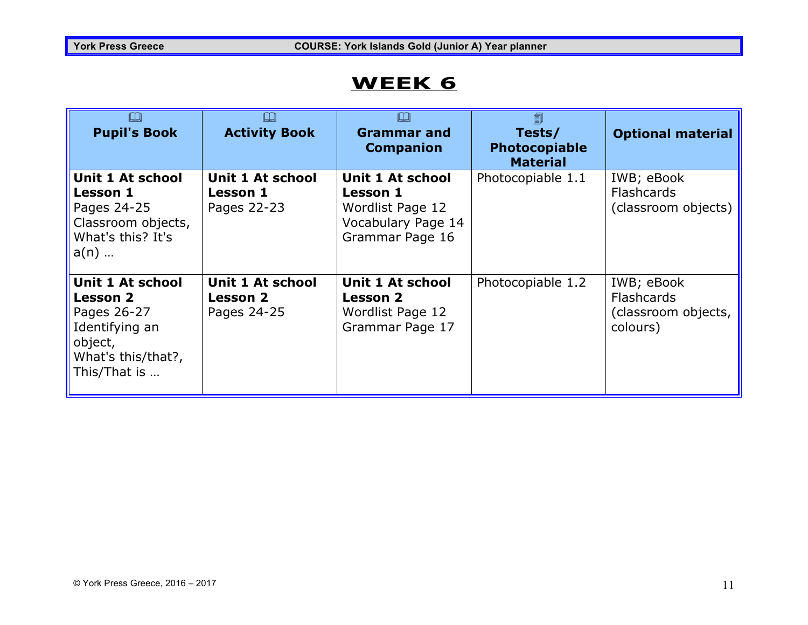| <b>Pupil's Book</b>                                                                                                          | <b>Activity Book</b>                               | <b>Grammar and</b><br><b>Companion</b>                                                           | 圎<br>Tests/<br><b>Photocopiable</b><br><b>Material</b> | <b>Optional material</b>                                           |
|------------------------------------------------------------------------------------------------------------------------------|----------------------------------------------------|--------------------------------------------------------------------------------------------------|--------------------------------------------------------|--------------------------------------------------------------------|
| Unit 1 At school<br><b>Lesson 1</b><br>Pages 24-25<br>Classroom objects,<br>What's this? It's<br>$a(n)$                      | Unit 1 At school<br><b>Lesson 1</b><br>Pages 22-23 | Unit 1 At school<br><b>Lesson 1</b><br>Wordlist Page 12<br>Vocabulary Page 14<br>Grammar Page 16 | Photocopiable 1.1                                      | IWB; eBook<br><b>Flashcards</b><br>(classroom objects)             |
| <b>Unit 1 At school</b><br><b>Lesson 2</b><br>Pages 26-27<br>Identifying an<br>object,<br>What's this/that?,<br>This/That is | Unit 1 At school<br><b>Lesson 2</b><br>Pages 24-25 | Unit 1 At school<br><b>Lesson 2</b><br>Wordlist Page 12<br>Grammar Page 17                       | Photocopiable 1.2                                      | IWB; eBook<br><b>Flashcards</b><br>(classroom objects,<br>colours) |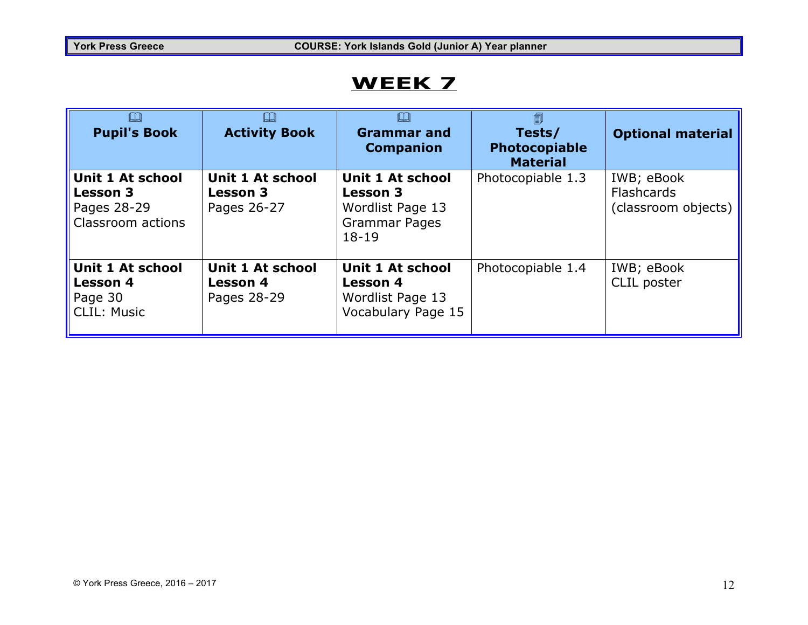| $\square$<br><b>Pupil's Book</b>                                            | IJ<br><b>Activity Book</b>                                | <b>Grammar and</b><br><b>Companion</b>                                                              | 匐<br>Tests/<br>Photocopiable<br><b>Material</b> | <b>Optional material</b>                               |
|-----------------------------------------------------------------------------|-----------------------------------------------------------|-----------------------------------------------------------------------------------------------------|-------------------------------------------------|--------------------------------------------------------|
| Unit 1 At school<br><b>Lesson 3</b><br>Pages 28-29<br>Classroom actions     | <b>Unit 1 At school</b><br><b>Lesson 3</b><br>Pages 26-27 | <b>Unit 1 At school</b><br><b>Lesson 3</b><br>Wordlist Page 13<br><b>Grammar Pages</b><br>$18 - 19$ | Photocopiable 1.3                               | IWB; eBook<br><b>Flashcards</b><br>(classroom objects) |
| <b>Unit 1 At school</b><br><b>Lesson 4</b><br>Page 30<br><b>CLIL: Music</b> | Unit 1 At school<br><b>Lesson 4</b><br>Pages 28-29        | Unit 1 At school<br><b>Lesson 4</b><br>Wordlist Page 13<br>Vocabulary Page 15                       | Photocopiable 1.4                               | IWB; eBook<br>CLIL poster                              |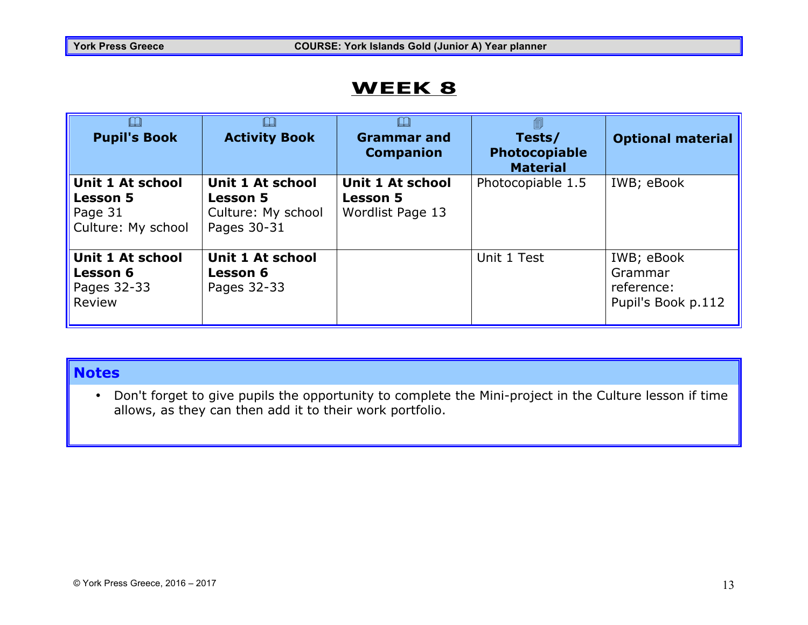| LL<br><b>Pupil's Book</b>                                                   | ╚┙<br><b>Activity Book</b>                                                      | <b>Grammar and</b><br><b>Companion</b>                         | 圎<br>Tests/<br><b>Photocopiable</b><br><b>Material</b> | <b>Optional material</b>                                  |
|-----------------------------------------------------------------------------|---------------------------------------------------------------------------------|----------------------------------------------------------------|--------------------------------------------------------|-----------------------------------------------------------|
| <b>Unit 1 At school</b><br><b>Lesson 5</b><br>Page 31<br>Culture: My school | <b>Unit 1 At school</b><br><b>Lesson 5</b><br>Culture: My school<br>Pages 30-31 | <b>Unit 1 At school</b><br><b>Lesson 5</b><br>Wordlist Page 13 | Photocopiable 1.5                                      | IWB; eBook                                                |
| <b>Unit 1 At school</b><br><b>Lesson 6</b><br>Pages 32-33<br>Review         | Unit 1 At school<br><b>Lesson 6</b><br>Pages 32-33                              |                                                                | Unit 1 Test                                            | IWB; eBook<br>Grammar<br>reference:<br>Pupil's Book p.112 |

#### **Notes**

• Don't forget to give pupils the opportunity to complete the Mini-project in the Culture lesson if time allows, as they can then add it to their work portfolio.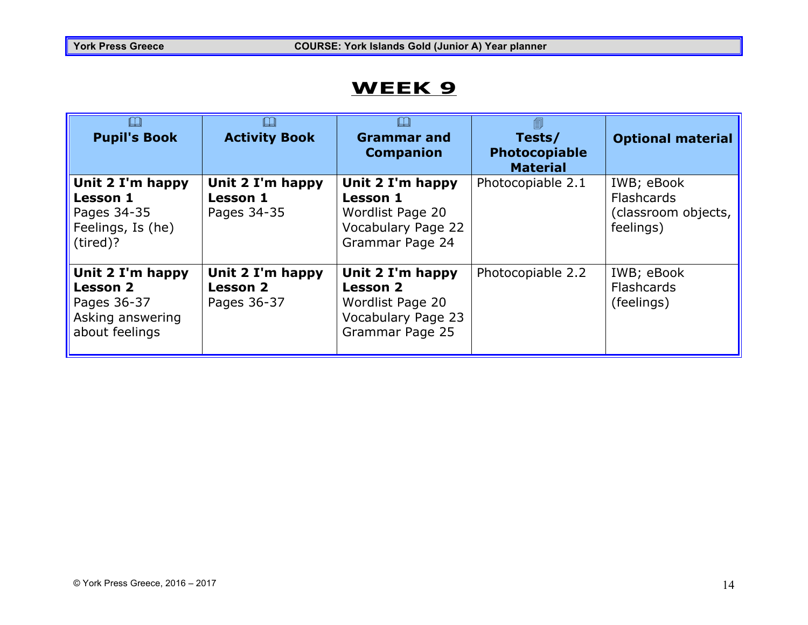| $\square$<br><b>Pupil's Book</b>                                                         | <b>Activity Book</b>                               | <b>Grammar and</b><br><b>Companion</b>                                                           | 匐<br>Tests/<br><b>Photocopiable</b><br><b>Material</b> | <b>Optional material</b>                                            |
|------------------------------------------------------------------------------------------|----------------------------------------------------|--------------------------------------------------------------------------------------------------|--------------------------------------------------------|---------------------------------------------------------------------|
| Unit 2 I'm happy<br><b>Lesson 1</b><br>Pages 34-35<br>Feelings, Is (he)<br>(tired)?      | Unit 2 I'm happy<br><b>Lesson 1</b><br>Pages 34-35 | Unit 2 I'm happy<br><b>Lesson 1</b><br>Wordlist Page 20<br>Vocabulary Page 22<br>Grammar Page 24 | Photocopiable 2.1                                      | IWB; eBook<br><b>Flashcards</b><br>(classroom objects,<br>feelings) |
| Unit 2 I'm happy<br><b>Lesson 2</b><br>Pages 36-37<br>Asking answering<br>about feelings | Unit 2 I'm happy<br><b>Lesson 2</b><br>Pages 36-37 | Unit 2 I'm happy<br><b>Lesson 2</b><br>Wordlist Page 20<br>Vocabulary Page 23<br>Grammar Page 25 | Photocopiable 2.2                                      | IWB; eBook<br><b>Flashcards</b><br>(feelings)                       |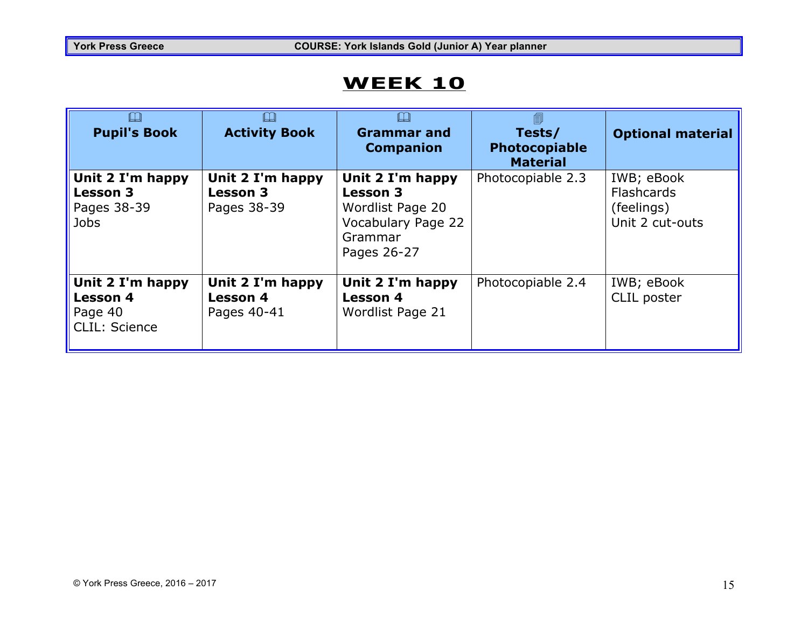| $\Box$<br><b>Pupil's Book</b>                                          | IJ<br><b>Activity Book</b>                         | IJ<br><b>Grammar and</b><br><b>Companion</b>                                                                   | Tests/<br>Photocopiable<br><b>Material</b> | <b>Optional material</b>                                         |
|------------------------------------------------------------------------|----------------------------------------------------|----------------------------------------------------------------------------------------------------------------|--------------------------------------------|------------------------------------------------------------------|
| Unit 2 I'm happy<br><b>Lesson 3</b><br>Pages 38-39<br><b>Jobs</b>      | Unit 2 I'm happy<br><b>Lesson 3</b><br>Pages 38-39 | Unit 2 I'm happy<br><b>Lesson 3</b><br>Wordlist Page 20<br><b>Vocabulary Page 22</b><br>Grammar<br>Pages 26-27 | Photocopiable 2.3                          | IWB; eBook<br><b>Flashcards</b><br>(feelings)<br>Unit 2 cut-outs |
| Unit 2 I'm happy<br><b>Lesson 4</b><br>Page 40<br><b>CLIL: Science</b> | Unit 2 I'm happy<br><b>Lesson 4</b><br>Pages 40-41 | Unit 2 I'm happy<br><b>Lesson 4</b><br>Wordlist Page 21                                                        | Photocopiable 2.4                          | IWB; eBook<br>CLIL poster                                        |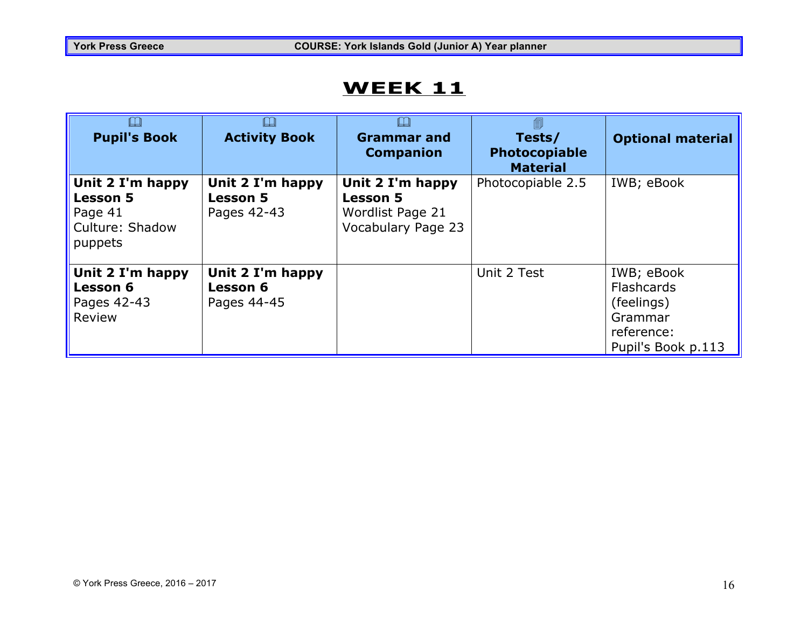| $\square$<br><b>Pupil's Book</b>                                             | ╚<br><b>Activity Book</b>                          | <b>Grammar and</b><br><b>Companion</b>                                        | 匐<br>Tests/<br>Photocopiable<br><b>Material</b> | <b>Optional material</b>                                                              |
|------------------------------------------------------------------------------|----------------------------------------------------|-------------------------------------------------------------------------------|-------------------------------------------------|---------------------------------------------------------------------------------------|
| Unit 2 I'm happy<br><b>Lesson 5</b><br>Page 41<br>Culture: Shadow<br>puppets | Unit 2 I'm happy<br><b>Lesson 5</b><br>Pages 42-43 | Unit 2 I'm happy<br><b>Lesson 5</b><br>Wordlist Page 21<br>Vocabulary Page 23 | Photocopiable 2.5                               | IWB; eBook                                                                            |
| Unit 2 I'm happy<br><b>Lesson 6</b><br>Pages 42-43<br>Review                 | Unit 2 I'm happy<br><b>Lesson 6</b><br>Pages 44-45 |                                                                               | Unit 2 Test                                     | IWB; eBook<br>Flashcards<br>(feelings)<br>Grammar<br>reference:<br>Pupil's Book p.113 |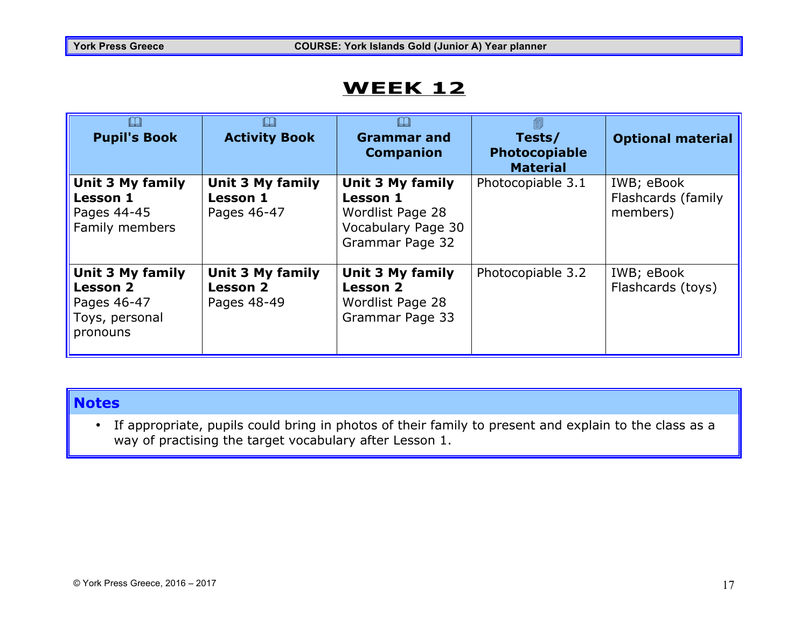| IJ<br><b>Pupil's Book</b>                                                               | IJ<br><b>Activity Book</b>                         | LJ<br><b>Grammar and</b><br><b>Companion</b>                                                     | Tests/<br><b>Photocopiable</b><br><b>Material</b> | <b>Optional material</b>                     |
|-----------------------------------------------------------------------------------------|----------------------------------------------------|--------------------------------------------------------------------------------------------------|---------------------------------------------------|----------------------------------------------|
| Unit 3 My family<br><b>Lesson 1</b><br>Pages 44-45<br>Family members                    | Unit 3 My family<br><b>Lesson 1</b><br>Pages 46-47 | Unit 3 My family<br><b>Lesson 1</b><br>Wordlist Page 28<br>Vocabulary Page 30<br>Grammar Page 32 | Photocopiable 3.1                                 | IWB; eBook<br>Flashcards (family<br>members) |
| <b>Unit 3 My family</b><br><b>Lesson 2</b><br>Pages 46-47<br>Toys, personal<br>pronouns | Unit 3 My family<br><b>Lesson 2</b><br>Pages 48-49 | Unit 3 My family<br><b>Lesson 2</b><br>Wordlist Page 28<br>Grammar Page 33                       | Photocopiable 3.2                                 | IWB; eBook<br>Flashcards (toys)              |

#### **Notes**

• If appropriate, pupils could bring in photos of their family to present and explain to the class as a way of practising the target vocabulary after Lesson 1.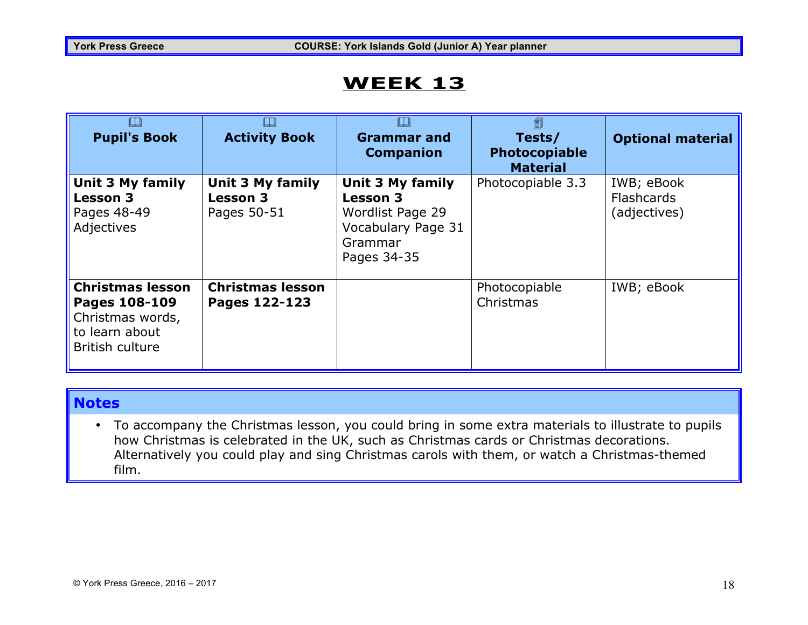| LU<br><b>Pupil's Book</b>                                                                         | $\Box$<br><b>Activity Book</b>                            | LJ<br><b>Grammar and</b><br><b>Companion</b>                                                                   | Tests/<br>Photocopiable<br><b>Material</b> | <b>Optional material</b>                        |
|---------------------------------------------------------------------------------------------------|-----------------------------------------------------------|----------------------------------------------------------------------------------------------------------------|--------------------------------------------|-------------------------------------------------|
| Unit 3 My family<br><b>Lesson 3</b><br>Pages 48-49<br>Adjectives                                  | <b>Unit 3 My family</b><br><b>Lesson 3</b><br>Pages 50-51 | <b>Unit 3 My family</b><br><b>Lesson 3</b><br>Wordlist Page 29<br>Vocabulary Page 31<br>Grammar<br>Pages 34-35 | Photocopiable 3.3                          | IWB; eBook<br><b>Flashcards</b><br>(adjectives) |
| <b>Christmas lesson</b><br>Pages 108-109<br>Christmas words,<br>to learn about<br>British culture | <b>Christmas lesson</b><br>Pages 122-123                  |                                                                                                                | Photocopiable<br>Christmas                 | IWB; eBook                                      |

#### **Notes**

• To accompany the Christmas lesson, you could bring in some extra materials to illustrate to pupils how Christmas is celebrated in the UK, such as Christmas cards or Christmas decorations. Alternatively you could play and sing Christmas carols with them, or watch a Christmas-themed film.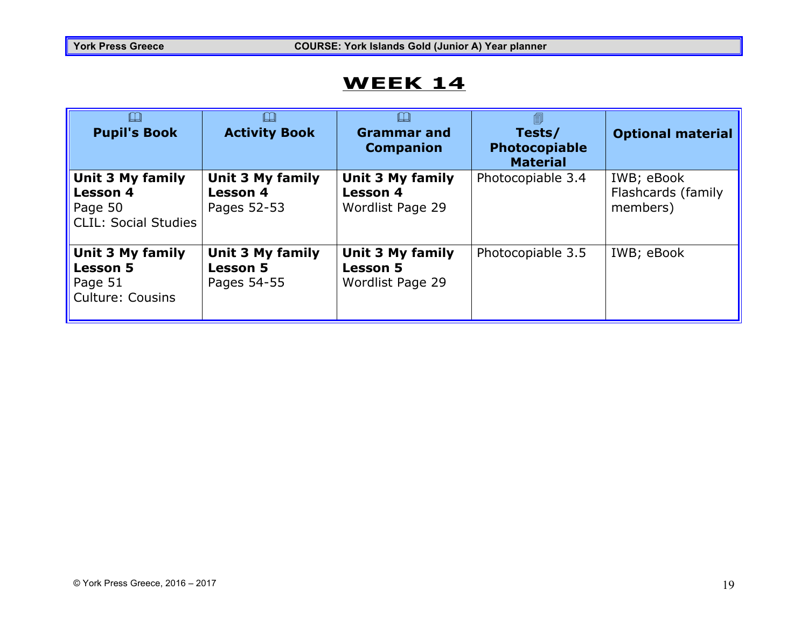| <b>Pupil's Book</b>                                                                  | LЦ<br><b>Activity Book</b>                         | <b>Grammar and</b><br><b>Companion</b>                         | 圎<br>Tests/<br><b>Photocopiable</b><br><b>Material</b> | <b>Optional material</b>                     |
|--------------------------------------------------------------------------------------|----------------------------------------------------|----------------------------------------------------------------|--------------------------------------------------------|----------------------------------------------|
| <b>Unit 3 My family</b><br><b>Lesson 4</b><br>Page 50<br><b>CLIL: Social Studies</b> | Unit 3 My family<br><b>Lesson 4</b><br>Pages 52-53 | <b>Unit 3 My family</b><br><b>Lesson 4</b><br>Wordlist Page 29 | Photocopiable 3.4                                      | IWB; eBook<br>Flashcards (family<br>members) |
| <b>Unit 3 My family</b><br><b>Lesson 5</b><br>Page 51<br><b>Culture: Cousins</b>     | Unit 3 My family<br><b>Lesson 5</b><br>Pages 54-55 | <b>Unit 3 My family</b><br><b>Lesson 5</b><br>Wordlist Page 29 | Photocopiable 3.5                                      | IWB; eBook                                   |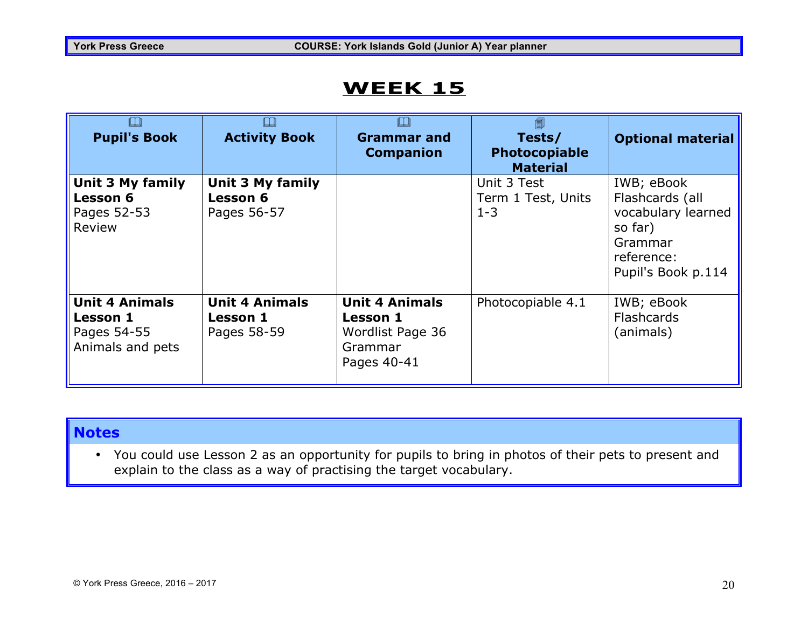| $\Box$<br><b>Pupil's Book</b>                                               | LU<br><b>Activity Book</b>                                | $\Box$<br><b>Grammar</b> and<br><b>Companion</b>                                | 圎<br>Tests/<br>Photocopiable<br><b>Material</b> | <b>Optional material</b>                                                                                      |
|-----------------------------------------------------------------------------|-----------------------------------------------------------|---------------------------------------------------------------------------------|-------------------------------------------------|---------------------------------------------------------------------------------------------------------------|
| Unit 3 My family<br><b>Lesson 6</b><br>Pages 52-53<br>Review                | <b>Unit 3 My family</b><br><b>Lesson 6</b><br>Pages 56-57 |                                                                                 | Unit 3 Test<br>Term 1 Test, Units<br>$1 - 3$    | IWB; eBook<br>Flashcards (all<br>vocabulary learned<br>so far)<br>Grammar<br>reference:<br>Pupil's Book p.114 |
| <b>Unit 4 Animals</b><br><b>Lesson 1</b><br>Pages 54-55<br>Animals and pets | <b>Unit 4 Animals</b><br><b>Lesson 1</b><br>Pages 58-59   | <b>Unit 4 Animals</b><br>Lesson 1<br>Wordlist Page 36<br>Grammar<br>Pages 40-41 | Photocopiable 4.1                               | IWB; eBook<br><b>Flashcards</b><br>(animals)                                                                  |

#### **Notes**

• You could use Lesson 2 as an opportunity for pupils to bring in photos of their pets to present and explain to the class as a way of practising the target vocabulary.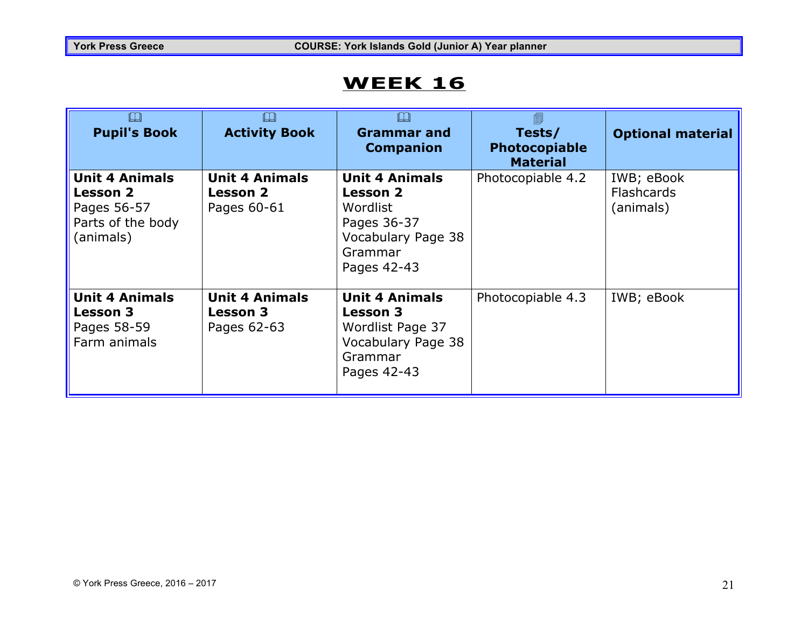| <b>Pupil's Book</b>                                                                       | <b>Activity Book</b>                                    | <b>Grammar and</b><br><b>Companion</b>                                                                              | 匐<br>Tests/<br>Photocopiable<br><b>Material</b> | <b>Optional material</b>                     |
|-------------------------------------------------------------------------------------------|---------------------------------------------------------|---------------------------------------------------------------------------------------------------------------------|-------------------------------------------------|----------------------------------------------|
| <b>Unit 4 Animals</b><br><b>Lesson 2</b><br>Pages 56-57<br>Parts of the body<br>(animals) | <b>Unit 4 Animals</b><br><b>Lesson 2</b><br>Pages 60-61 | <b>Unit 4 Animals</b><br><b>Lesson 2</b><br>Wordlist<br>Pages 36-37<br>Vocabulary Page 38<br>Grammar<br>Pages 42-43 | Photocopiable 4.2                               | IWB; eBook<br><b>Flashcards</b><br>(animals) |
| <b>Unit 4 Animals</b><br><b>Lesson 3</b><br>Pages 58-59<br>Farm animals                   | <b>Unit 4 Animals</b><br><b>Lesson 3</b><br>Pages 62-63 | <b>Unit 4 Animals</b><br><b>Lesson 3</b><br>Wordlist Page 37<br>Vocabulary Page 38<br>Grammar<br>Pages 42-43        | Photocopiable 4.3                               | IWB; eBook                                   |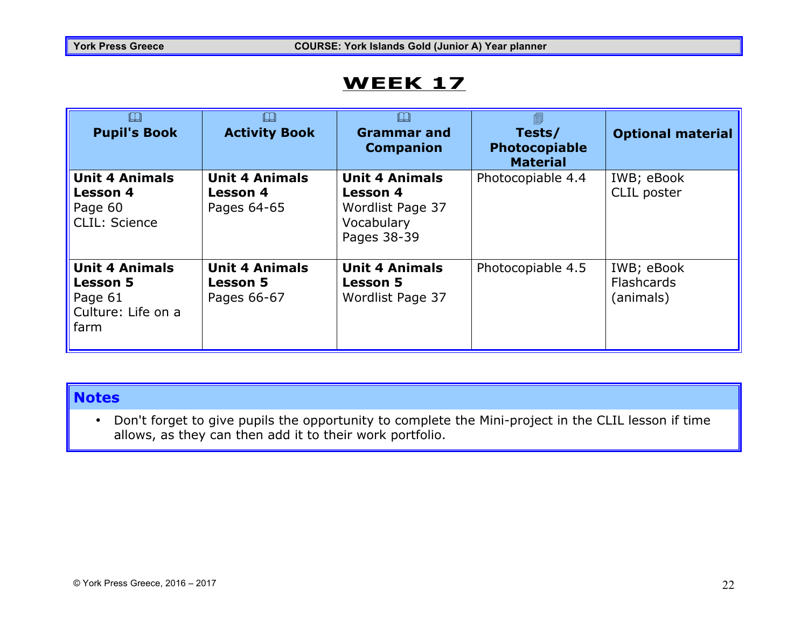| $\square$<br><b>Pupil's Book</b>                                                  | $\Box$<br><b>Activity Book</b>                          | $\Box$<br><b>Grammar and</b><br><b>Companion</b>                                          | 匐<br>Tests/<br>Photocopiable<br><b>Material</b> | <b>Optional material</b>                     |
|-----------------------------------------------------------------------------------|---------------------------------------------------------|-------------------------------------------------------------------------------------------|-------------------------------------------------|----------------------------------------------|
| <b>Unit 4 Animals</b><br><b>Lesson 4</b><br>Page 60<br>CLIL: Science              | <b>Unit 4 Animals</b><br><b>Lesson 4</b><br>Pages 64-65 | <b>Unit 4 Animals</b><br><b>Lesson 4</b><br>Wordlist Page 37<br>Vocabulary<br>Pages 38-39 | Photocopiable 4.4                               | IWB; eBook<br>CLIL poster                    |
| <b>Unit 4 Animals</b><br><b>Lesson 5</b><br>Page 61<br>Culture: Life on a<br>farm | <b>Unit 4 Animals</b><br><b>Lesson 5</b><br>Pages 66-67 | <b>Unit 4 Animals</b><br><b>Lesson 5</b><br>Wordlist Page 37                              | Photocopiable 4.5                               | IWB; eBook<br><b>Flashcards</b><br>(animals) |

#### **Notes**

• Don't forget to give pupils the opportunity to complete the Mini-project in the CLIL lesson if time allows, as they can then add it to their work portfolio.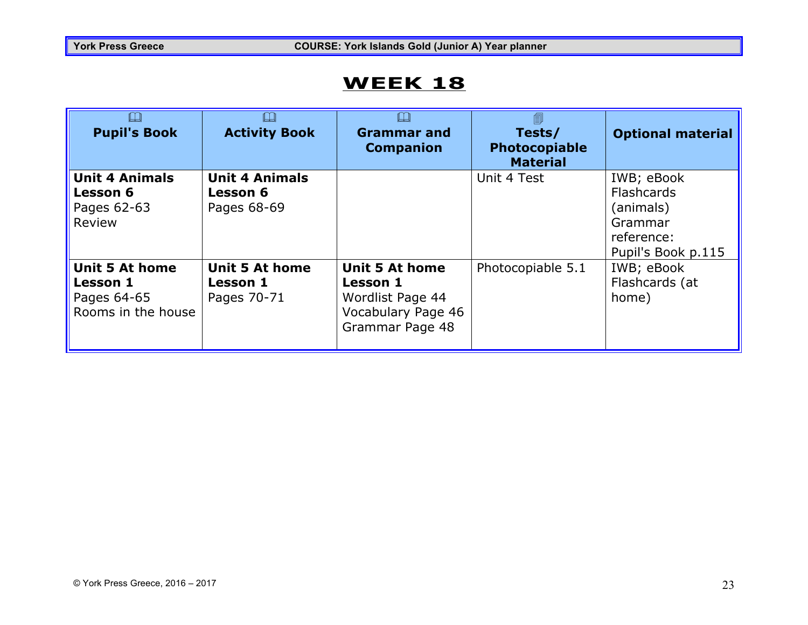| $\Box$<br><b>Pupil's Book</b>                                                 | IJ<br><b>Activity Book</b>                              | $\Box$<br><b>Grammar and</b><br><b>Companion</b>                                                      | Tests/<br><b>Photocopiable</b><br><b>Material</b> | <b>Optional material</b>                                                                    |
|-------------------------------------------------------------------------------|---------------------------------------------------------|-------------------------------------------------------------------------------------------------------|---------------------------------------------------|---------------------------------------------------------------------------------------------|
| <b>Unit 4 Animals</b><br><b>Lesson 6</b><br>Pages 62-63<br>Review             | <b>Unit 4 Animals</b><br><b>Lesson 6</b><br>Pages 68-69 |                                                                                                       | Unit 4 Test                                       | IWB; eBook<br><b>Flashcards</b><br>(animals)<br>Grammar<br>reference:<br>Pupil's Book p.115 |
| <b>Unit 5 At home</b><br><b>Lesson 1</b><br>Pages 64-65<br>Rooms in the house | <b>Unit 5 At home</b><br><b>Lesson 1</b><br>Pages 70-71 | <b>Unit 5 At home</b><br><b>Lesson 1</b><br>Wordlist Page 44<br>Vocabulary Page 46<br>Grammar Page 48 | Photocopiable 5.1                                 | IWB; eBook<br>Flashcards (at<br>home)                                                       |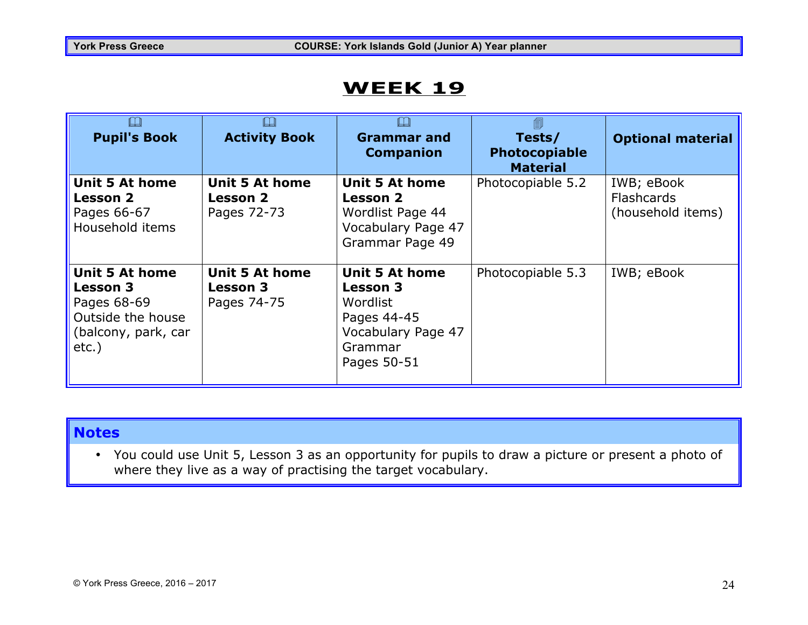| $\Box$<br><b>Pupil's Book</b>                                                                                   | ╚<br><b>Activity Book</b>                               | ╚┙<br><b>Grammar and</b><br><b>Companion</b>                                                                        | 匐<br>Tests/<br><b>Photocopiable</b><br><b>Material</b> | <b>Optional material</b>                             |
|-----------------------------------------------------------------------------------------------------------------|---------------------------------------------------------|---------------------------------------------------------------------------------------------------------------------|--------------------------------------------------------|------------------------------------------------------|
| <b>Unit 5 At home</b><br><b>Lesson 2</b><br>Pages 66-67<br>Household items                                      | <b>Unit 5 At home</b><br><b>Lesson 2</b><br>Pages 72-73 | <b>Unit 5 At home</b><br><b>Lesson 2</b><br>Wordlist Page 44<br>Vocabulary Page 47<br>Grammar Page 49               | Photocopiable 5.2                                      | IWB; eBook<br><b>Flashcards</b><br>(household items) |
| <b>Unit 5 At home</b><br><b>Lesson 3</b><br>Pages 68-69<br>Outside the house<br>(balcony, park, car<br>$etc.$ ) | <b>Unit 5 At home</b><br><b>Lesson 3</b><br>Pages 74-75 | <b>Unit 5 At home</b><br><b>Lesson 3</b><br>Wordlist<br>Pages 44-45<br>Vocabulary Page 47<br>Grammar<br>Pages 50-51 | Photocopiable 5.3                                      | IWB; eBook                                           |

#### **Notes**

• You could use Unit 5, Lesson 3 as an opportunity for pupils to draw a picture or present a photo of where they live as a way of practising the target vocabulary.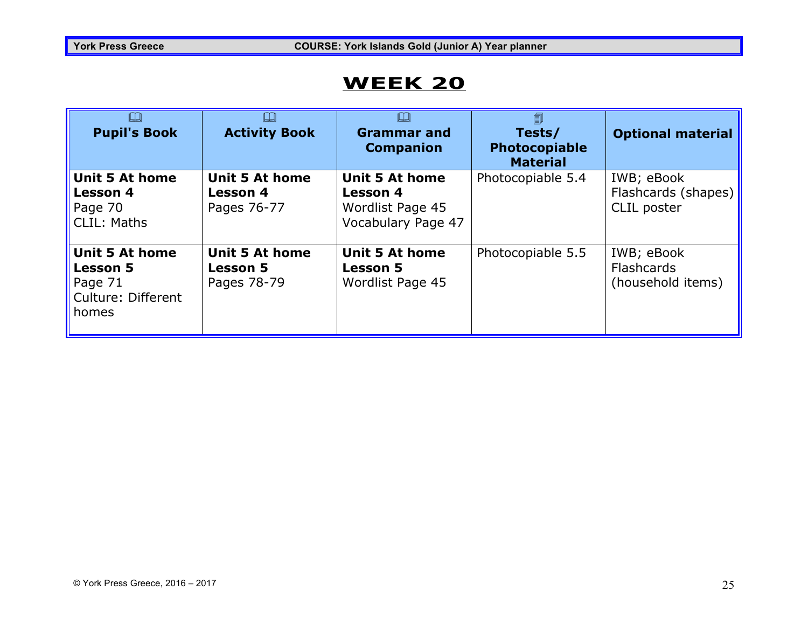| $\square$<br><b>Pupil's Book</b>                                                   | LЦ<br><b>Activity Book</b>                              | <b>Grammar and</b><br><b>Companion</b>                                             | 圎<br>Tests/<br><b>Photocopiable</b><br><b>Material</b> | <b>Optional material</b>                             |
|------------------------------------------------------------------------------------|---------------------------------------------------------|------------------------------------------------------------------------------------|--------------------------------------------------------|------------------------------------------------------|
| <b>Unit 5 At home</b><br><b>Lesson 4</b><br>Page 70<br><b>CLIL: Maths</b>          | <b>Unit 5 At home</b><br><b>Lesson 4</b><br>Pages 76-77 | <b>Unit 5 At home</b><br><b>Lesson 4</b><br>Wordlist Page 45<br>Vocabulary Page 47 | Photocopiable 5.4                                      | IWB; eBook<br>Flashcards (shapes)  <br>CLIL poster   |
| <b>Unit 5 At home</b><br><b>Lesson 5</b><br>Page 71<br>Culture: Different<br>homes | <b>Unit 5 At home</b><br><b>Lesson 5</b><br>Pages 78-79 | <b>Unit 5 At home</b><br><b>Lesson 5</b><br>Wordlist Page 45                       | Photocopiable 5.5                                      | IWB; eBook<br><b>Flashcards</b><br>(household items) |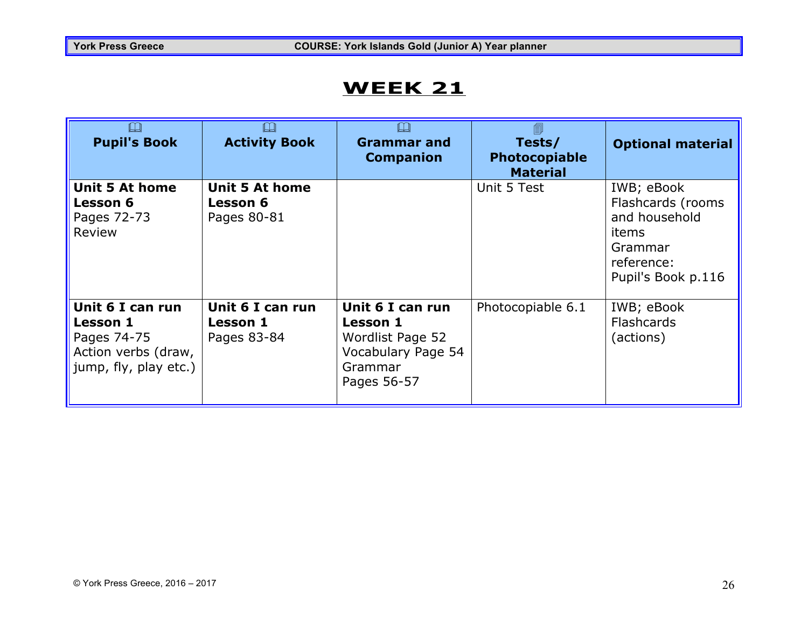| $\Box$<br><b>Pupil's Book</b>                                                                      | ╚<br><b>Activity Book</b>                        | $\Box$<br><b>Grammar and</b><br><b>Companion</b>                                                        | 匐<br>Tests/<br>Photocopiable<br><b>Material</b> | <b>Optional material</b>                                                                                 |
|----------------------------------------------------------------------------------------------------|--------------------------------------------------|---------------------------------------------------------------------------------------------------------|-------------------------------------------------|----------------------------------------------------------------------------------------------------------|
| <b>Unit 5 At home</b><br><b>Lesson 6</b><br>Pages 72-73<br>Review                                  | Unit 5 At home<br><b>Lesson 6</b><br>Pages 80-81 |                                                                                                         | Unit 5 Test                                     | IWB; eBook<br>Flashcards (rooms<br>and household<br>items<br>Grammar<br>reference:<br>Pupil's Book p.116 |
| Unit 6 I can run<br><b>Lesson 1</b><br>Pages 74-75<br>Action verbs (draw,<br>jump, fly, play etc.) | Unit 6 I can run<br>Lesson 1<br>Pages 83-84      | Unit 6 I can run<br><b>Lesson 1</b><br>Wordlist Page 52<br>Vocabulary Page 54<br>Grammar<br>Pages 56-57 | Photocopiable 6.1                               | IWB; eBook<br><b>Flashcards</b><br>(actions)                                                             |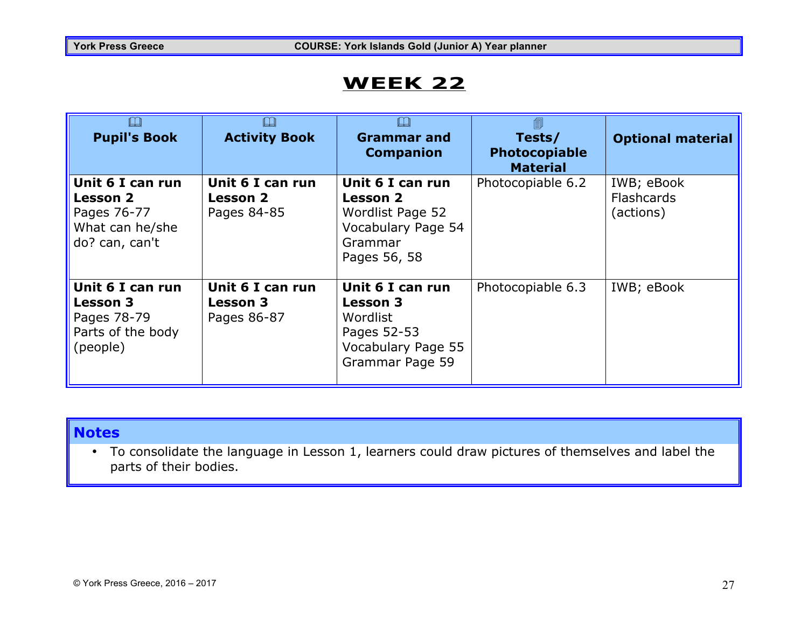| $\Box$<br><b>Pupil's Book</b>                                                           | $\Box$<br><b>Activity Book</b>                     | LJ<br><b>Grammar and</b><br><b>Companion</b>                                                            | 匐<br>Tests/<br>Photocopiable<br><b>Material</b> | <b>Optional material</b>                     |
|-----------------------------------------------------------------------------------------|----------------------------------------------------|---------------------------------------------------------------------------------------------------------|-------------------------------------------------|----------------------------------------------|
| Unit 6 I can run<br><b>Lesson 2</b><br>Pages 76-77<br>What can he/she<br>do? can, can't | Unit 6 I can run<br><b>Lesson 2</b><br>Pages 84-85 | Unit 6 I can run<br>Lesson 2<br>Wordlist Page 52<br>Vocabulary Page 54<br>Grammar<br>Pages 56, 58       | Photocopiable 6.2                               | IWB; eBook<br><b>Flashcards</b><br>(actions) |
| Unit 6 I can run<br><b>Lesson 3</b><br>Pages 78-79<br>Parts of the body<br>(people)     | Unit 6 I can run<br><b>Lesson 3</b><br>Pages 86-87 | Unit 6 I can run<br><b>Lesson 3</b><br>Wordlist<br>Pages 52-53<br>Vocabulary Page 55<br>Grammar Page 59 | Photocopiable 6.3                               | IWB; eBook                                   |

#### **Notes**

• To consolidate the language in Lesson 1, learners could draw pictures of themselves and label the parts of their bodies.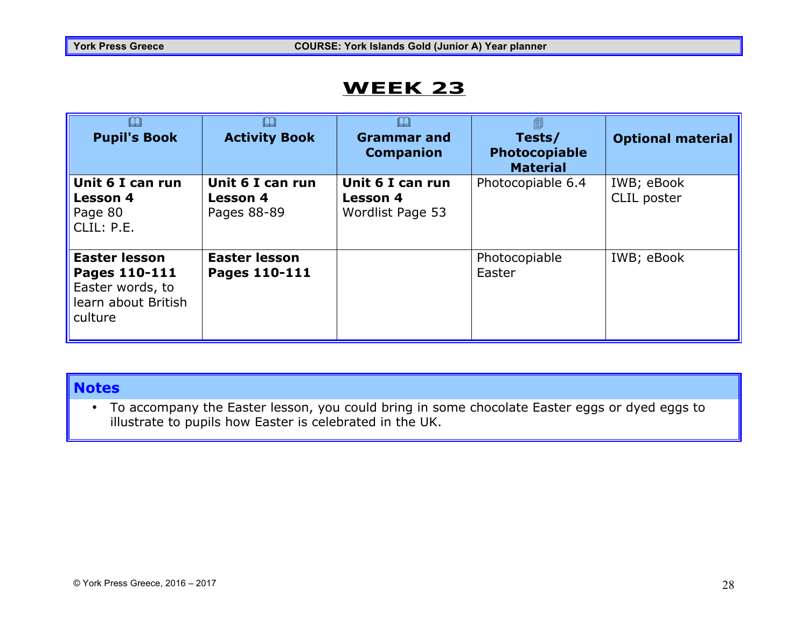| <b>Pupil's Book</b>                                                                         | <b>Activity Book</b>                               | <b>Grammar and</b><br><b>Companion</b>                  | 匐<br>Tests/<br><b>Photocopiable</b><br><b>Material</b> | <b>Optional material</b>  |
|---------------------------------------------------------------------------------------------|----------------------------------------------------|---------------------------------------------------------|--------------------------------------------------------|---------------------------|
| Unit 6 I can run<br><b>Lesson 4</b><br>Page 80<br>CLIL: P.E.                                | Unit 6 I can run<br><b>Lesson 4</b><br>Pages 88-89 | Unit 6 I can run<br><b>Lesson 4</b><br>Wordlist Page 53 | Photocopiable 6.4                                      | IWB; eBook<br>CLIL poster |
| <b>Easter lesson</b><br>Pages 110-111<br>Easter words, to<br>learn about British<br>culture | <b>Easter lesson</b><br>Pages 110-111              |                                                         | Photocopiable<br>Easter                                | IWB; eBook                |

#### **Notes**

• To accompany the Easter lesson, you could bring in some chocolate Easter eggs or dyed eggs to illustrate to pupils how Easter is celebrated in the UK.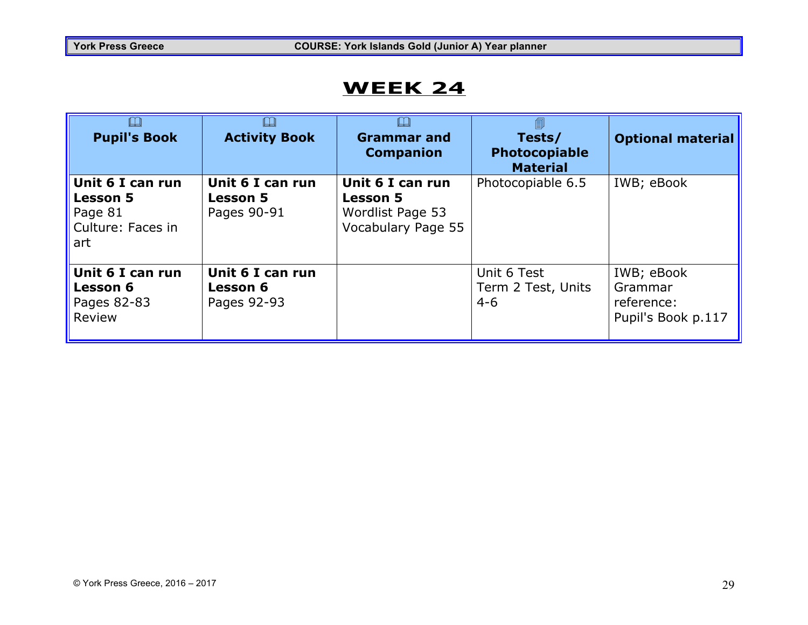| <b>Pupil's Book</b>                                                        | <b>Activity Book</b>                               | <b>Grammar and</b><br><b>Companion</b>                                        | –<br>Tests/<br>Photocopiable<br><b>Material</b> | <b>Optional material</b>                                  |
|----------------------------------------------------------------------------|----------------------------------------------------|-------------------------------------------------------------------------------|-------------------------------------------------|-----------------------------------------------------------|
| Unit 6 I can run<br><b>Lesson 5</b><br>Page 81<br>Culture: Faces in<br>art | Unit 6 I can run<br><b>Lesson 5</b><br>Pages 90-91 | Unit 6 I can run<br><b>Lesson 5</b><br>Wordlist Page 53<br>Vocabulary Page 55 | Photocopiable 6.5                               | IWB; eBook                                                |
| Unit 6 I can run<br><b>Lesson 6</b><br>Pages 82-83<br>Review               | Unit 6 I can run<br><b>Lesson 6</b><br>Pages 92-93 |                                                                               | Unit 6 Test<br>Term 2 Test, Units<br>$4 - 6$    | IWB; eBook<br>Grammar<br>reference:<br>Pupil's Book p.117 |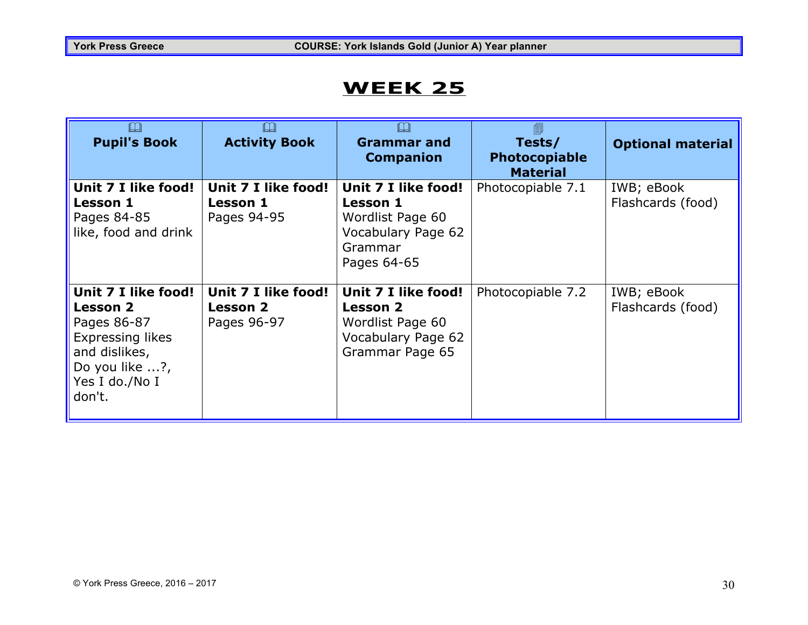| $\square$<br><b>Pupil's Book</b>                                                                                                                | Щ<br><b>Activity Book</b>                             | <b>Grammar</b> and<br><b>Companion</b>                                                                     | 匐<br>Tests/<br><b>Photocopiable</b><br><b>Material</b> | <b>Optional material</b>        |
|-------------------------------------------------------------------------------------------------------------------------------------------------|-------------------------------------------------------|------------------------------------------------------------------------------------------------------------|--------------------------------------------------------|---------------------------------|
| Unit 7 I like food!<br><b>Lesson 1</b><br>Pages 84-85<br>like, food and drink                                                                   | Unit 7 I like food!<br><b>Lesson 1</b><br>Pages 94-95 | Unit 7 I like food!<br><b>Lesson 1</b><br>Wordlist Page 60<br>Vocabulary Page 62<br>Grammar<br>Pages 64-65 | Photocopiable 7.1                                      | IWB; eBook<br>Flashcards (food) |
| Unit 7 I like food!<br><b>Lesson 2</b><br>Pages 86-87<br><b>Expressing likes</b><br>and dislikes,<br>Do you like ?,<br>Yes I do./No I<br>don't. | Unit 7 I like food!<br><b>Lesson 2</b><br>Pages 96-97 | Unit 7 I like food!<br><b>Lesson 2</b><br>Wordlist Page 60<br>Vocabulary Page 62<br>Grammar Page 65        | Photocopiable 7.2                                      | IWB; eBook<br>Flashcards (food) |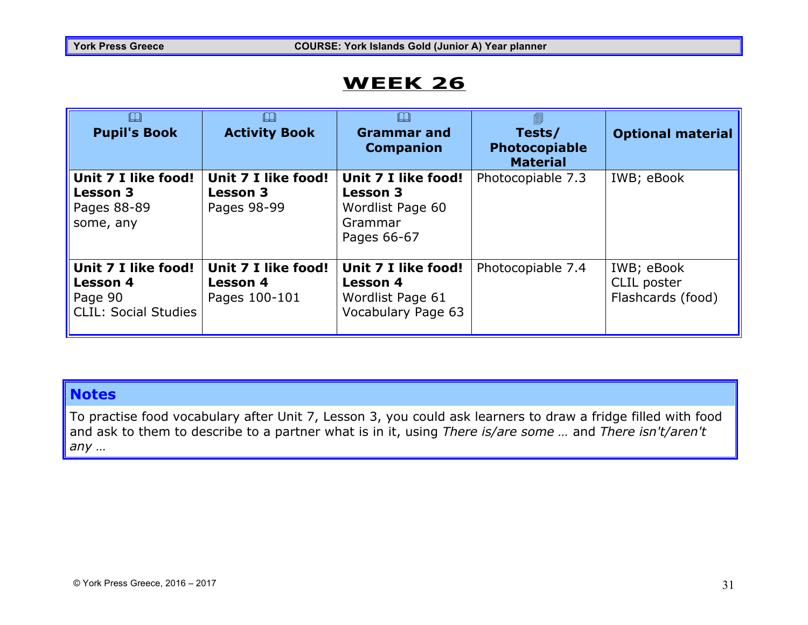| $\square$<br><b>Pupil's Book</b>                                                 | LЦ<br><b>Activity Book</b>                              | <b>Grammar and</b><br><b>Companion</b>                                               | 圎<br>Tests/<br><b>Photocopiable</b><br><b>Material</b> | <b>Optional material</b>                       |
|----------------------------------------------------------------------------------|---------------------------------------------------------|--------------------------------------------------------------------------------------|--------------------------------------------------------|------------------------------------------------|
| Unit 7 I like food!<br><b>Lesson 3</b><br>Pages 88-89<br>some, any               | Unit 7 I like food!<br><b>Lesson 3</b><br>Pages 98-99   | Unit 7 I like food!<br><b>Lesson 3</b><br>Wordlist Page 60<br>Grammar<br>Pages 66-67 | Photocopiable 7.3                                      | IWB; eBook                                     |
| Unit 7 I like food!<br><b>Lesson 4</b><br>Page 90<br><b>CLIL: Social Studies</b> | Unit 7 I like food!<br><b>Lesson 4</b><br>Pages 100-101 | Unit 7 I like food!<br><b>Lesson 4</b><br>Wordlist Page 61<br>Vocabulary Page 63     | Photocopiable 7.4                                      | IWB; eBook<br>CLIL poster<br>Flashcards (food) |

#### **Notes**

To practise food vocabulary after Unit 7, Lesson 3, you could ask learners to draw a fridge filled with food and ask to them to describe to a partner what is in it, using *There is/are some …* and *There isn't/aren't any …*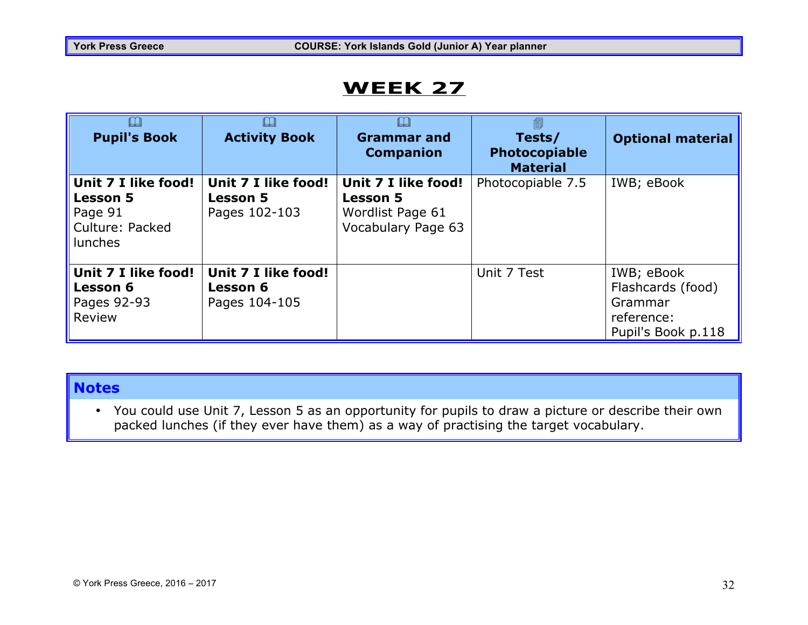| $\Box$<br><b>Pupil's Book</b>                                                          | LЦ<br><b>Activity Book</b>                              | <b>Grammar and</b><br><b>Companion</b>                                           | 匐<br>Tests/<br>Photocopiable<br><b>Material</b> | <b>Optional material</b>                                                       |
|----------------------------------------------------------------------------------------|---------------------------------------------------------|----------------------------------------------------------------------------------|-------------------------------------------------|--------------------------------------------------------------------------------|
| Unit 7 I like food!<br><b>Lesson 5</b><br>Page 91<br>Culture: Packed<br><b>lunches</b> | Unit 7 I like food!<br><b>Lesson 5</b><br>Pages 102-103 | Unit 7 I like food!<br><b>Lesson 5</b><br>Wordlist Page 61<br>Vocabulary Page 63 | Photocopiable 7.5                               | IWB; eBook                                                                     |
| Unit 7 I like food!<br><b>Lesson 6</b><br>Pages 92-93<br>Review                        | Unit 7 I like food!<br><b>Lesson 6</b><br>Pages 104-105 |                                                                                  | Unit 7 Test                                     | IWB; eBook<br>Flashcards (food)<br>Grammar<br>reference:<br>Pupil's Book p.118 |

#### **Notes**

• You could use Unit 7, Lesson 5 as an opportunity for pupils to draw a picture or describe their own packed lunches (if they ever have them) as a way of practising the target vocabulary.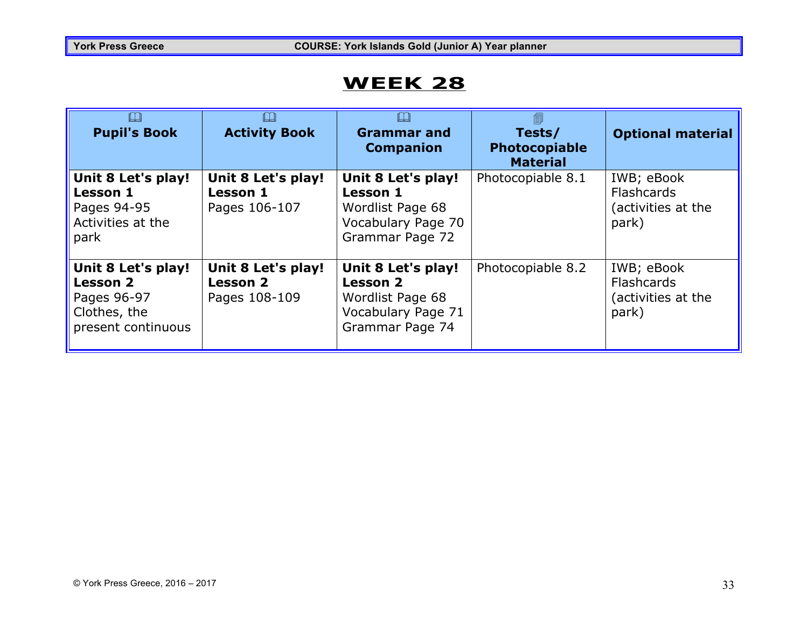| $\Box$<br><b>Pupil's Book</b>                                                              | <b>Activity Book</b>                                   | <b>Grammar and</b><br><b>Companion</b>                                                             | 匐<br>Tests/<br><b>Photocopiable</b><br><b>Material</b> | <b>Optional material</b>                                       |
|--------------------------------------------------------------------------------------------|--------------------------------------------------------|----------------------------------------------------------------------------------------------------|--------------------------------------------------------|----------------------------------------------------------------|
| Unit 8 Let's play!<br><b>Lesson 1</b><br>Pages 94-95<br>Activities at the<br>park          | Unit 8 Let's play!<br><b>Lesson 1</b><br>Pages 106-107 | Unit 8 Let's play!<br><b>Lesson 1</b><br>Wordlist Page 68<br>Vocabulary Page 70<br>Grammar Page 72 | Photocopiable 8.1                                      | IWB; eBook<br><b>Flashcards</b><br>(activities at the<br>park) |
| Unit 8 Let's play!<br><b>Lesson 2</b><br>Pages 96-97<br>Clothes, the<br>present continuous | Unit 8 Let's play!<br><b>Lesson 2</b><br>Pages 108-109 | Unit 8 Let's play!<br><b>Lesson 2</b><br>Wordlist Page 68<br>Vocabulary Page 71<br>Grammar Page 74 | Photocopiable 8.2                                      | IWB; eBook<br><b>Flashcards</b><br>(activities at the<br>park) |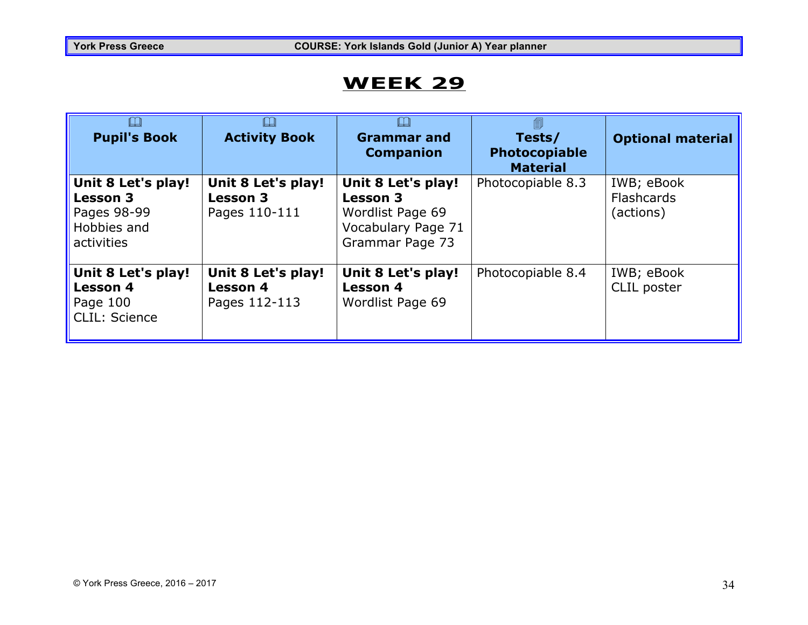| $\Box$<br><b>Pupil's Book</b>                                                     | IJ<br><b>Activity Book</b>                             | <b>Grammar and</b><br><b>Companion</b>                                                             | 匐<br>Tests/<br>Photocopiable<br><b>Material</b> | <b>Optional material</b>              |
|-----------------------------------------------------------------------------------|--------------------------------------------------------|----------------------------------------------------------------------------------------------------|-------------------------------------------------|---------------------------------------|
| Unit 8 Let's play!<br><b>Lesson 3</b><br>Pages 98-99<br>Hobbies and<br>activities | Unit 8 Let's play!<br><b>Lesson 3</b><br>Pages 110-111 | Unit 8 Let's play!<br><b>Lesson 3</b><br>Wordlist Page 69<br>Vocabulary Page 71<br>Grammar Page 73 | Photocopiable 8.3                               | IWB; eBook<br>Flashcards<br>(actions) |
| Unit 8 Let's play!<br><b>Lesson 4</b><br>Page 100<br>CLIL: Science                | Unit 8 Let's play!<br><b>Lesson 4</b><br>Pages 112-113 | Unit 8 Let's play!<br><b>Lesson 4</b><br>Wordlist Page 69                                          | Photocopiable 8.4                               | IWB; eBook<br>CLIL poster             |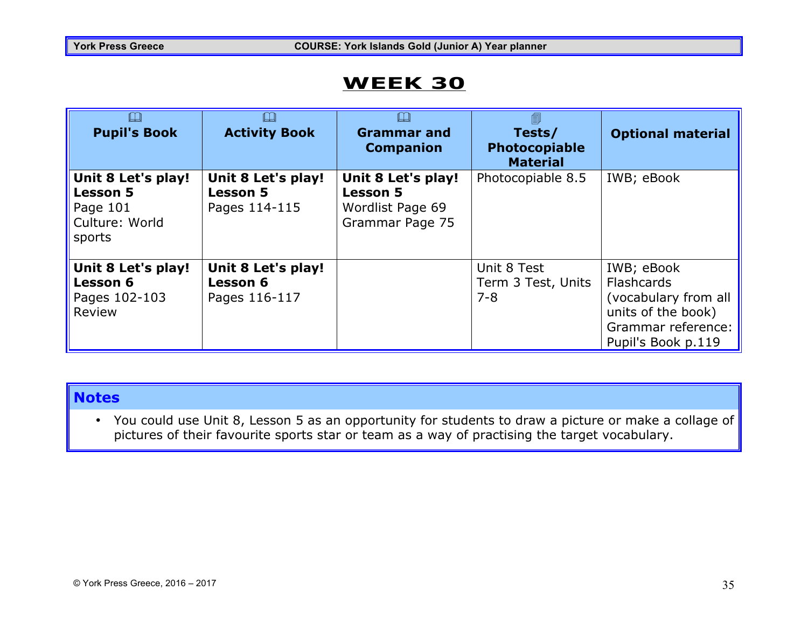| $\Box$<br><b>Pupil's Book</b>                                                 | $\Box$<br><b>Activity Book</b>                         | <b>Grammar and</b><br><b>Companion</b>                                       | 圎<br>Tests/<br>Photocopiable<br><b>Material</b> | <b>Optional material</b>                                                                                                  |
|-------------------------------------------------------------------------------|--------------------------------------------------------|------------------------------------------------------------------------------|-------------------------------------------------|---------------------------------------------------------------------------------------------------------------------------|
| Unit 8 Let's play!<br><b>Lesson 5</b><br>Page 101<br>Culture: World<br>sports | Unit 8 Let's play!<br><b>Lesson 5</b><br>Pages 114-115 | Unit 8 Let's play!<br><b>Lesson 5</b><br>Wordlist Page 69<br>Grammar Page 75 | Photocopiable 8.5                               | IWB; eBook                                                                                                                |
| Unit 8 Let's play!<br><b>Lesson 6</b><br>Pages 102-103<br>Review              | Unit 8 Let's play!<br><b>Lesson 6</b><br>Pages 116-117 |                                                                              | Unit 8 Test<br>Term 3 Test, Units<br>$7 - 8$    | IWB; eBook<br><b>Flashcards</b><br>(vocabulary from all<br>units of the book)<br>Grammar reference:<br>Pupil's Book p.119 |

#### **Notes**

• You could use Unit 8, Lesson 5 as an opportunity for students to draw a picture or make a collage of pictures of their favourite sports star or team as a way of practising the target vocabulary.